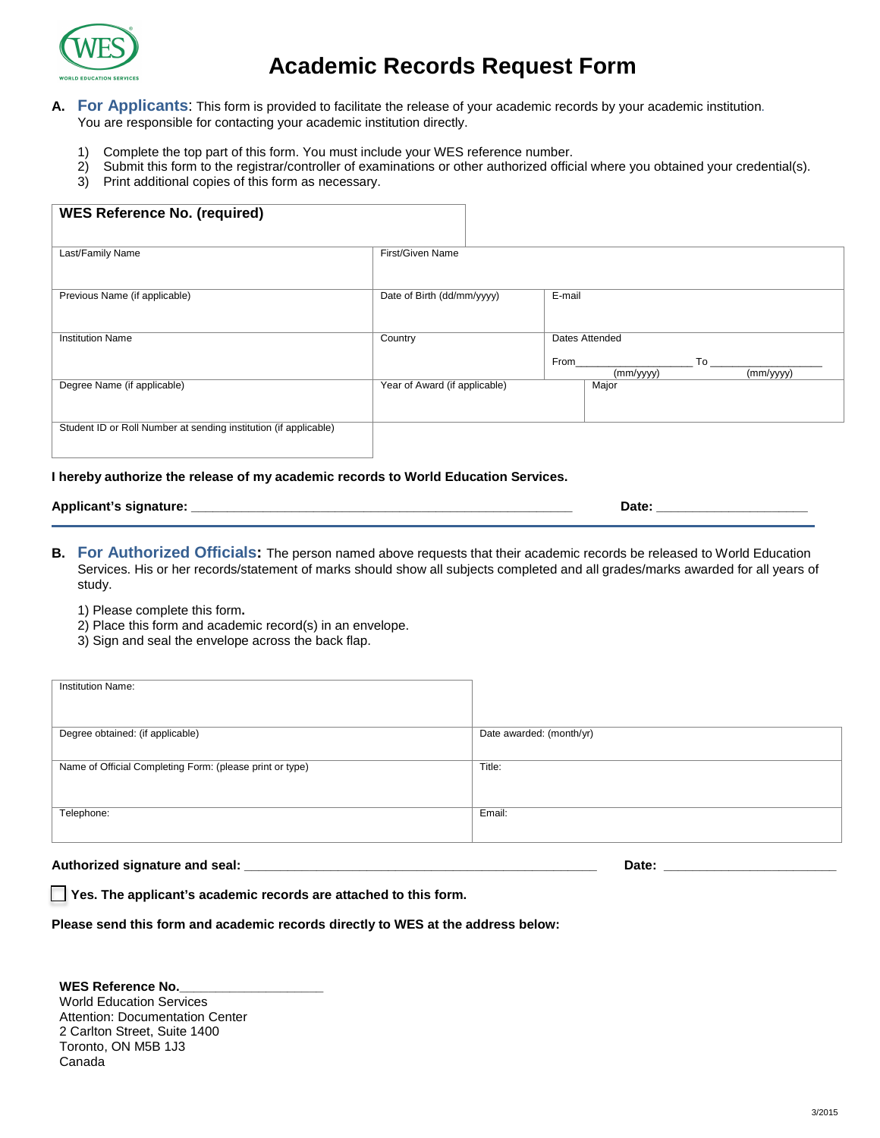

# **Academic Records Request Form**

- **A. For Applicants**: This form is provided to facilitate the release of your academic records by your academic institution. You are responsible for contacting your academic institution directly.
	- 1) Complete the top part of this form. You must include your WES reference number.<br>2) Submit this form to the registrar/controller of examinations or other authorized offici
	- 2) Submit this form to the registrar/controller of examinations or other authorized official where you obtained your credential(s).
	- 3) Print additional copies of this form as necessary.

| <b>WES Reference No. (required)</b>                              |                               |                                                        |
|------------------------------------------------------------------|-------------------------------|--------------------------------------------------------|
| Last/Family Name                                                 | First/Given Name              |                                                        |
| Previous Name (if applicable)                                    | Date of Birth (dd/mm/yyyy)    | E-mail                                                 |
| <b>Institution Name</b>                                          | Country                       | Dates Attended<br>From<br>To<br>(mm/yyyy)<br>(mm/yyyy) |
| Degree Name (if applicable)                                      | Year of Award (if applicable) | Major                                                  |
| Student ID or Roll Number at sending institution (if applicable) |                               |                                                        |

#### **I hereby authorize the release of my academic records to World Education Services.**

| Applicant's signature: | Date: |
|------------------------|-------|
|------------------------|-------|

- **B. For Authorized Officials:** The person named above requests that their academic records be released to World Education Services. His or her records/statement of marks should show all subjects completed and all grades/marks awarded for all years of study.
	- 1) Please complete this form**.**
	- 2) Place this form and academic record(s) in an envelope.
	- 3) Sign and seal the envelope across the back flap.

| <b>Institution Name:</b>                                 |                          |
|----------------------------------------------------------|--------------------------|
| Degree obtained: (if applicable)                         | Date awarded: (month/yr) |
| Name of Official Completing Form: (please print or type) | Title:                   |
| Telephone:                                               | Email:                   |

**Authorized signature and seal: \_\_\_\_\_\_\_\_\_\_\_\_\_\_\_\_\_\_\_\_\_\_\_\_\_\_\_\_\_\_\_\_\_\_\_\_\_\_\_\_\_\_\_\_\_\_\_\_\_ Date: \_\_\_\_\_\_\_\_\_\_\_\_\_\_\_\_\_\_\_\_\_\_\_\_**

 **Yes. The applicant's academic records are attached to this form.**

**Please send this form and academic records directly to WES at the address below:** 

WES Reference No. World Education Services Attention: Documentation Center 2 Carlton Street, Suite 1400 Toronto, ON M5B 1J3 Canada